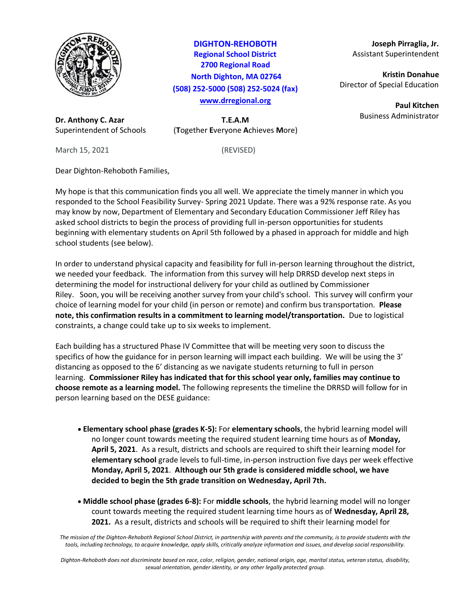

**DIGHTON-REHOBOTH Regional School District 2700 Regional Road North Dighton, MA 02764 (508) 252-5000 (508) 252-5024 (fax) [www.drregional.org](http://www.drregional.org/)**

**Dr. Anthony C. Azar T.E.A.M** Superintendent of Schools (**T**ogether **E**veryone **A**chieves **M**ore)

March 15, 2021 (REVISED)

Dear Dighton-Rehoboth Families,

My hope is that this communication finds you all well. We appreciate the timely manner in which you responded to the School Feasibility Survey- Spring 2021 Update. There was a 92% response rate. As you may know by now, Department of Elementary and Secondary Education Commissioner Jeff Riley has asked school districts to begin the process of providing full in-person opportunities for students beginning with elementary students on April 5th followed by a phased in approach for middle and high school students (see below).

In order to understand physical capacity and feasibility for full in-person learning throughout the district, we needed your feedback. The information from this survey will help DRRSD develop next steps in determining the model for instructional delivery for your child as outlined by Commissioner Riley. Soon, you will be receiving another survey from your child's school. This survey will confirm your choice of learning model for your child (in person or remote) and confirm bus transportation. **Please note, this confirmation results in a commitment to learning model/transportation.** Due to logistical constraints, a change could take up to six weeks to implement.

Each building has a structured Phase IV Committee that will be meeting very soon to discuss the specifics of how the guidance for in person learning will impact each building. We will be using the 3' distancing as opposed to the 6' distancing as we navigate students returning to full in person learning. **Commissioner Riley has indicated that for this school year only, families may continue to choose remote as a learning model.** The following represents the timeline the DRRSD will follow for in person learning based on the DESE guidance:

- **Elementary school phase (grades K-5):** For **elementary schools**, the hybrid learning model will no longer count towards meeting the required student learning time hours as of **Monday, April 5, 2021**. As a result, districts and schools are required to shift their learning model for **elementary school** grade levels to full-time, in-person instruction five days per week effective **Monday, April 5, 2021**. **Although our 5th grade is considered middle school, we have decided to begin the 5th grade transition on Wednesday, April 7th.**
- **Middle school phase (grades 6-8):** For **middle schools**, the hybrid learning model will no longer count towards meeting the required student learning time hours as of **Wednesday, April 28, 2021.** As a result, districts and schools will be required to shift their learning model for

*The mission of the Dighton-Rehoboth Regional School District, in partnership with parents and the community, is to provide students with the tools, including technology, to acquire knowledge, apply skills, critically analyze information and issues, and develop social responsibility.*

*Dighton-Rehoboth does not discriminate based on race, color, religion, gender, national origin, age, marital status, veteran status, disability, sexual orientation, gender identity, or any other legally protected group.*

**Joseph Pirraglia, Jr.** Assistant Superintendent

**Kristin Donahue** Director of Special Education

> **Paul Kitchen** Business Administrator